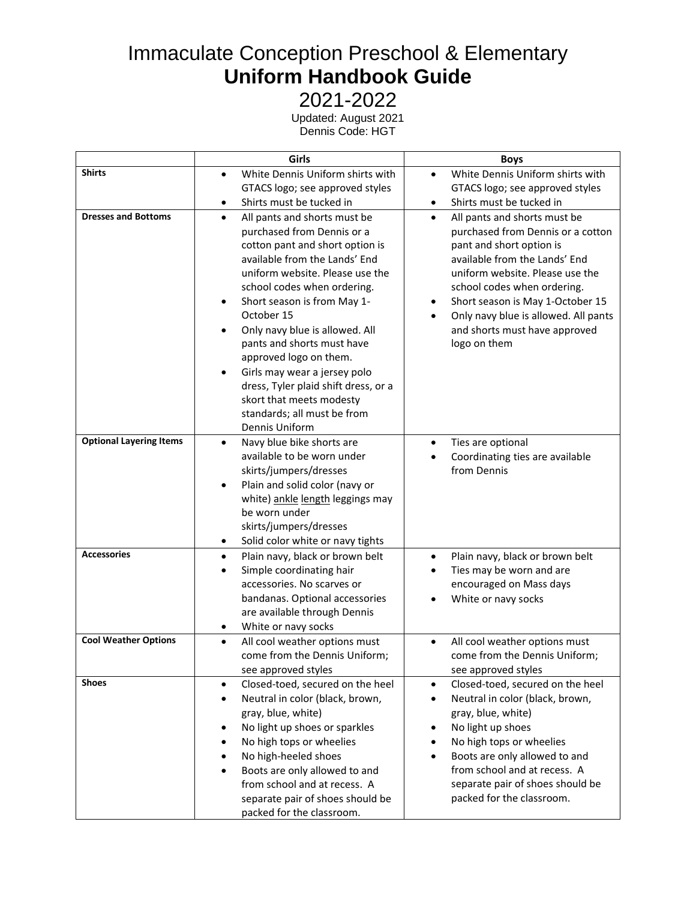# Immaculate Conception Preschool & Elementary **Uniform Handbook Guide**

2021-2022

Updated: August 2021 Dennis Code: HGT

|                                | Girls                                                                                                                                                                                                                                                                                                                                                                                                                                                                                                                    | <b>Boys</b>                                                                                                                                                                                                                                                                                                                                     |
|--------------------------------|--------------------------------------------------------------------------------------------------------------------------------------------------------------------------------------------------------------------------------------------------------------------------------------------------------------------------------------------------------------------------------------------------------------------------------------------------------------------------------------------------------------------------|-------------------------------------------------------------------------------------------------------------------------------------------------------------------------------------------------------------------------------------------------------------------------------------------------------------------------------------------------|
| <b>Shirts</b>                  | White Dennis Uniform shirts with<br>$\bullet$<br>GTACS logo; see approved styles                                                                                                                                                                                                                                                                                                                                                                                                                                         | White Dennis Uniform shirts with<br>$\bullet$<br>GTACS logo; see approved styles                                                                                                                                                                                                                                                                |
|                                | Shirts must be tucked in                                                                                                                                                                                                                                                                                                                                                                                                                                                                                                 | Shirts must be tucked in<br>$\bullet$                                                                                                                                                                                                                                                                                                           |
| <b>Dresses and Bottoms</b>     | All pants and shorts must be<br>$\bullet$<br>purchased from Dennis or a<br>cotton pant and short option is<br>available from the Lands' End<br>uniform website. Please use the<br>school codes when ordering.<br>Short season is from May 1-<br>٠<br>October 15<br>Only navy blue is allowed. All<br>٠<br>pants and shorts must have<br>approved logo on them.<br>Girls may wear a jersey polo<br>٠<br>dress, Tyler plaid shift dress, or a<br>skort that meets modesty<br>standards; all must be from<br>Dennis Uniform | All pants and shorts must be<br>$\bullet$<br>purchased from Dennis or a cotton<br>pant and short option is<br>available from the Lands' End<br>uniform website. Please use the<br>school codes when ordering.<br>Short season is May 1-October 15<br>٠<br>Only navy blue is allowed. All pants<br>and shorts must have approved<br>logo on them |
| <b>Optional Layering Items</b> | Navy blue bike shorts are<br>$\bullet$<br>available to be worn under<br>skirts/jumpers/dresses<br>Plain and solid color (navy or<br>white) ankle length leggings may<br>be worn under<br>skirts/jumpers/dresses<br>Solid color white or navy tights<br>٠                                                                                                                                                                                                                                                                 | Ties are optional<br>$\bullet$<br>Coordinating ties are available<br>from Dennis                                                                                                                                                                                                                                                                |
| <b>Accessories</b>             | Plain navy, black or brown belt<br>$\bullet$<br>Simple coordinating hair<br>accessories. No scarves or<br>bandanas. Optional accessories<br>are available through Dennis<br>White or navy socks                                                                                                                                                                                                                                                                                                                          | Plain navy, black or brown belt<br>$\bullet$<br>Ties may be worn and are<br>$\bullet$<br>encouraged on Mass days<br>White or navy socks                                                                                                                                                                                                         |
| <b>Cool Weather Options</b>    | All cool weather options must<br>$\bullet$<br>come from the Dennis Uniform;<br>see approved styles                                                                                                                                                                                                                                                                                                                                                                                                                       | All cool weather options must<br>come from the Dennis Uniform;<br>see approved styles                                                                                                                                                                                                                                                           |
| <b>Shoes</b>                   | Closed-toed, secured on the heel<br>$\bullet$<br>Neutral in color (black, brown,<br>٠<br>gray, blue, white)<br>No light up shoes or sparkles<br>٠<br>No high tops or wheelies<br>$\bullet$<br>No high-heeled shoes<br>Boots are only allowed to and<br>from school and at recess. A<br>separate pair of shoes should be<br>packed for the classroom.                                                                                                                                                                     | Closed-toed, secured on the heel<br>$\bullet$<br>Neutral in color (black, brown,<br>$\bullet$<br>gray, blue, white)<br>No light up shoes<br>$\bullet$<br>No high tops or wheelies<br>$\bullet$<br>Boots are only allowed to and<br>$\bullet$<br>from school and at recess. A<br>separate pair of shoes should be<br>packed for the classroom.   |